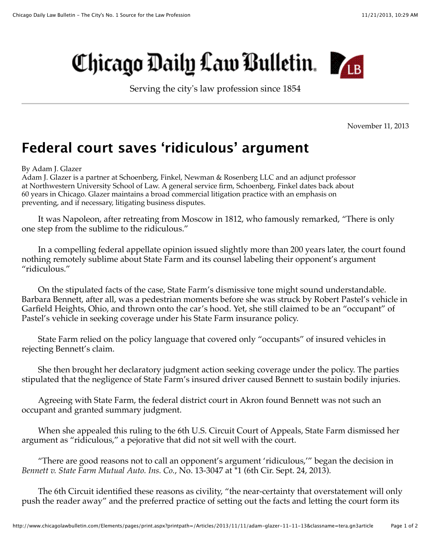## Chicago Daily Law Bulletin.

Serving the city's law profession since 1854

November 11, 2013

## **Federal court saves 'ridiculous' argument**

By Adam J. Glazer

Adam J. Glazer is a partner at Schoenberg, Finkel, Newman & Rosenberg LLC and an adjunct professor at Northwestern University School of Law. A general service firm, Schoenberg, Finkel dates back about 60 years in Chicago. Glazer maintains a broad commercial litigation practice with an emphasis on preventing, and if necessary, litigating business disputes.

It was Napoleon, after retreating from Moscow in 1812, who famously remarked, "There is only one step from the sublime to the ridiculous."

In a compelling federal appellate opinion issued slightly more than 200 years later, the court found nothing remotely sublime about State Farm and its counsel labeling their opponent's argument "ridiculous."

On the stipulated facts of the case, State Farm's dismissive tone might sound understandable. Barbara Bennett, after all, was a pedestrian moments before she was struck by Robert Pastel's vehicle in Garfield Heights, Ohio, and thrown onto the car's hood. Yet, she still claimed to be an "occupant" of Pastel's vehicle in seeking coverage under his State Farm insurance policy.

State Farm relied on the policy language that covered only "occupants" of insured vehicles in rejecting Bennett's claim.

She then brought her declaratory judgment action seeking coverage under the policy. The parties stipulated that the negligence of State Farm's insured driver caused Bennett to sustain bodily injuries.

Agreeing with State Farm, the federal district court in Akron found Bennett was not such an occupant and granted summary judgment.

When she appealed this ruling to the 6th U.S. Circuit Court of Appeals, State Farm dismissed her argument as "ridiculous," a pejorative that did not sit well with the court.

"There are good reasons not to call an opponent's argument 'ridiculous,'" began the decision in *Bennett v. State Farm Mutual Auto. Ins. Co.*, No. 13-3047 at \*1 (6th Cir. Sept. 24, 2013).

The 6th Circuit identified these reasons as civility, "the near-certainty that overstatement will only push the reader away" and the preferred practice of setting out the facts and letting the court form its